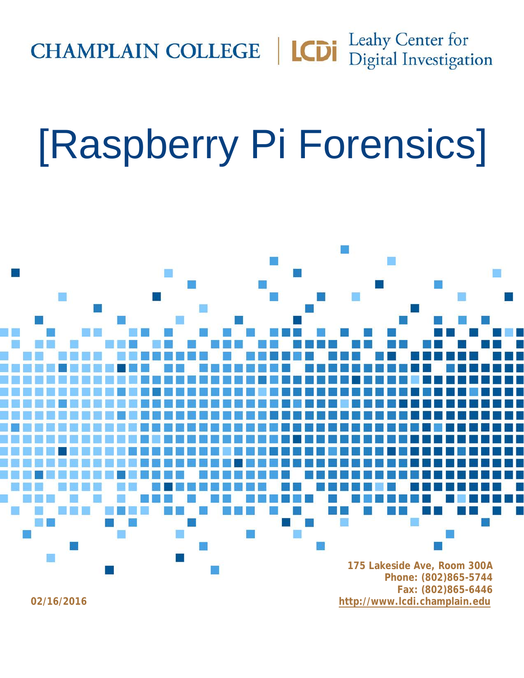**CHAMPLAIN COLLEGE** | **LCDI** Leahy Center for

# [Raspberry Pi Forensics]

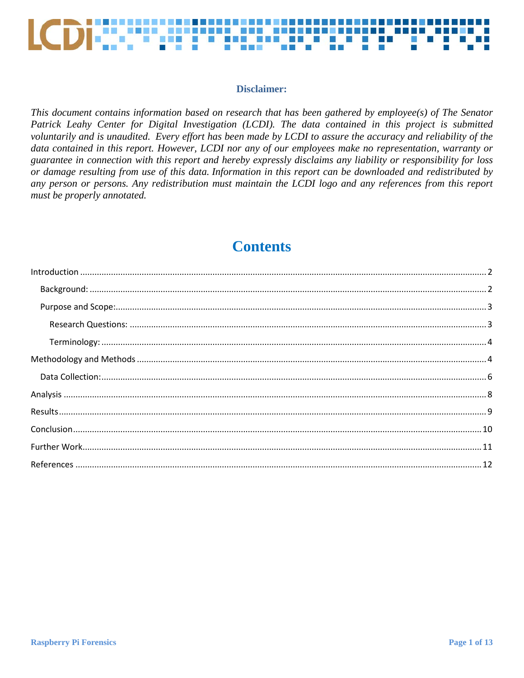

## Disclaimer:

This document contains information based on research that has been gathered by employee(s) of The Senator Patrick Leahy Center for Digital Investigation (LCDI). The data contained in this project is submitted voluntarily and is unaudited. Every effort has been made by LCDI to assure the accuracy and reliability of the data contained in this report. However, LCDI nor any of our employees make no representation, warranty or guarantee in connection with this report and hereby expressly disclaims any liability or responsibility for loss or damage resulting from use of this data. Information in this report can be downloaded and redistributed by any person or persons. Any redistribution must maintain the LCDI logo and any references from this report must be properly annotated.

# **Contents**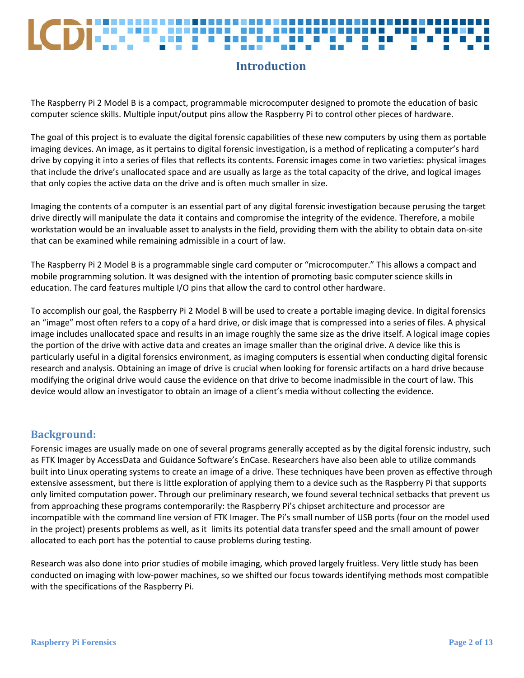# **Introduction**

<span id="page-2-0"></span>The Raspberry Pi 2 Model B is a compact, programmable microcomputer designed to promote the education of basic computer science skills. Multiple input/output pins allow the Raspberry Pi to control other pieces of hardware.

The goal of this project is to evaluate the digital forensic capabilities of these new computers by using them as portable imaging devices. An image, as it pertains to digital forensic investigation, is a method of replicating a computer's hard drive by copying it into a series of files that reflects its contents. Forensic images come in two varieties: physical images that include the drive's unallocated space and are usually as large as the total capacity of the drive, and logical images that only copies the active data on the drive and is often much smaller in size.

Imaging the contents of a computer is an essential part of any digital forensic investigation because perusing the target drive directly will manipulate the data it contains and compromise the integrity of the evidence. Therefore, a mobile workstation would be an invaluable asset to analysts in the field, providing them with the ability to obtain data on-site that can be examined while remaining admissible in a court of law.

The Raspberry Pi 2 Model B is a programmable single card computer or "microcomputer." This allows a compact and mobile programming solution. It was designed with the intention of promoting basic computer science skills in education. The card features multiple I/O pins that allow the card to control other hardware.

To accomplish our goal, the Raspberry Pi 2 Model B will be used to create a portable imaging device. In digital forensics an "image" most often refers to a copy of a hard drive, or disk image that is compressed into a series of files. A physical image includes unallocated space and results in an image roughly the same size as the drive itself. A logical image copies the portion of the drive with active data and creates an image smaller than the original drive. A device like this is particularly useful in a digital forensics environment, as imaging computers is essential when conducting digital forensic research and analysis. Obtaining an image of drive is crucial when looking for forensic artifacts on a hard drive because modifying the original drive would cause the evidence on that drive to become inadmissible in the court of law. This device would allow an investigator to obtain an image of a client's media without collecting the evidence.

## <span id="page-2-1"></span>**Background:**

Forensic images are usually made on one of several programs generally accepted as by the digital forensic industry, such as FTK Imager by AccessData and Guidance Software's EnCase. Researchers have also been able to utilize commands built into Linux operating systems to create an image of a drive. These techniques have been proven as effective through extensive assessment, but there is little exploration of applying them to a device such as the Raspberry Pi that supports only limited computation power. Through our preliminary research, we found several technical setbacks that prevent us from approaching these programs contemporarily: the Raspberry Pi's chipset architecture and processor are incompatible with the command line version of FTK Imager. The Pi's small number of USB ports (four on the model used in the project) presents problems as well, as it limits its potential data transfer speed and the small amount of power allocated to each port has the potential to cause problems during testing.

Research was also done into prior studies of mobile imaging, which proved largely fruitless. Very little study has been conducted on imaging with low-power machines, so we shifted our focus towards identifying methods most compatible with the specifications of the Raspberry Pi.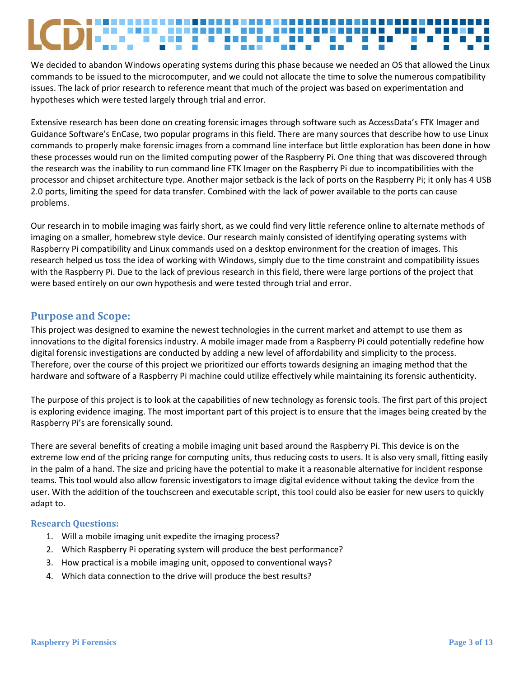We decided to abandon Windows operating systems during this phase because we needed an OS that allowed the Linux commands to be issued to the microcomputer, and we could not allocate the time to solve the numerous compatibility issues. The lack of prior research to reference meant that much of the project was based on experimentation and hypotheses which were tested largely through trial and error.

Extensive research has been done on creating forensic images through software such as AccessData's FTK Imager and Guidance Software's EnCase, two popular programs in this field. There are many sources that describe how to use Linux commands to properly make forensic images from a command line interface but little exploration has been done in how these processes would run on the limited computing power of the Raspberry Pi. One thing that was discovered through the research was the inability to run command line FTK Imager on the Raspberry Pi due to incompatibilities with the processor and chipset architecture type. Another major setback is the lack of ports on the Raspberry Pi; it only has 4 USB 2.0 ports, limiting the speed for data transfer. Combined with the lack of power available to the ports can cause problems.

Our research in to mobile imaging was fairly short, as we could find very little reference online to alternate methods of imaging on a smaller, homebrew style device. Our research mainly consisted of identifying operating systems with Raspberry Pi compatibility and Linux commands used on a desktop environment for the creation of images. This research helped us toss the idea of working with Windows, simply due to the time constraint and compatibility issues with the Raspberry Pi. Due to the lack of previous research in this field, there were large portions of the project that were based entirely on our own hypothesis and were tested through trial and error.

## <span id="page-3-0"></span>**Purpose and Scope:**

This project was designed to examine the newest technologies in the current market and attempt to use them as innovations to the digital forensics industry. A mobile imager made from a Raspberry Pi could potentially redefine how digital forensic investigations are conducted by adding a new level of affordability and simplicity to the process. Therefore, over the course of this project we prioritized our efforts towards designing an imaging method that the hardware and software of a Raspberry Pi machine could utilize effectively while maintaining its forensic authenticity.

The purpose of this project is to look at the capabilities of new technology as forensic tools. The first part of this project is exploring evidence imaging. The most important part of this project is to ensure that the images being created by the Raspberry Pi's are forensically sound.

There are several benefits of creating a mobile imaging unit based around the Raspberry Pi. This device is on the extreme low end of the pricing range for computing units, thus reducing costs to users. It is also very small, fitting easily in the palm of a hand. The size and pricing have the potential to make it a reasonable alternative for incident response teams. This tool would also allow forensic investigators to image digital evidence without taking the device from the user. With the addition of the touchscreen and executable script, this tool could also be easier for new users to quickly adapt to.

## <span id="page-3-1"></span>**Research Questions:**

- 1. Will a mobile imaging unit expedite the imaging process?
- 2. Which Raspberry Pi operating system will produce the best performance?
- 3. How practical is a mobile imaging unit, opposed to conventional ways?
- 4. Which data connection to the drive will produce the best results?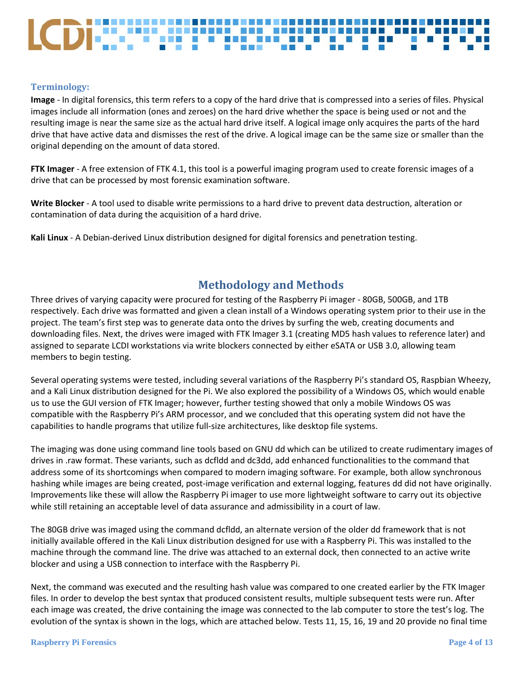## <span id="page-4-0"></span>**Terminology:**

**Image** - In digital forensics, this term refers to a copy of the hard drive that is compressed into a series of files. Physical images include all information (ones and zeroes) on the hard drive whether the space is being used or not and the resulting image is near the same size as the actual hard drive itself. A logical image only acquires the parts of the hard drive that have active data and dismisses the rest of the drive. A logical image can be the same size or smaller than the original depending on the amount of data stored.

**FTK Imager** - A free extension of FTK 4.1, this tool is a powerful imaging program used to create forensic images of a drive that can be processed by most forensic examination software.

**Write Blocker** - A tool used to disable write permissions to a hard drive to prevent data destruction, alteration or contamination of data during the acquisition of a hard drive.

**Kali Linux** - A Debian-derived Linux distribution designed for digital forensics and penetration testing.

# **Methodology and Methods**

<span id="page-4-1"></span>Three drives of varying capacity were procured for testing of the Raspberry Pi imager - 80GB, 500GB, and 1TB respectively. Each drive was formatted and given a clean install of a Windows operating system prior to their use in the project. The team's first step was to generate data onto the drives by surfing the web, creating documents and downloading files. Next, the drives were imaged with FTK Imager 3.1 (creating MD5 hash values to reference later) and assigned to separate LCDI workstations via write blockers connected by either eSATA or USB 3.0, allowing team members to begin testing.

Several operating systems were tested, including several variations of the Raspberry Pi's standard OS, Raspbian Wheezy, and a Kali Linux distribution designed for the Pi. We also explored the possibility of a Windows OS, which would enable us to use the GUI version of FTK Imager; however, further testing showed that only a mobile Windows OS was compatible with the Raspberry Pi's ARM processor, and we concluded that this operating system did not have the capabilities to handle programs that utilize full-size architectures, like desktop file systems.

The imaging was done using command line tools based on GNU dd which can be utilized to create rudimentary images of drives in .raw format. These variants, such as dcfldd and dc3dd, add enhanced functionalities to the command that address some of its shortcomings when compared to modern imaging software. For example, both allow synchronous hashing while images are being created, post-image verification and external logging, features dd did not have originally. Improvements like these will allow the Raspberry Pi imager to use more lightweight software to carry out its objective while still retaining an acceptable level of data assurance and admissibility in a court of law.

The 80GB drive was imaged using the command dcfldd, an alternate version of the older dd framework that is not initially available offered in the Kali Linux distribution designed for use with a Raspberry Pi. This was installed to the machine through the command line. The drive was attached to an external dock, then connected to an active write blocker and using a USB connection to interface with the Raspberry Pi.

Next, the command was executed and the resulting hash value was compared to one created earlier by the FTK Imager files. In order to develop the best syntax that produced consistent results, multiple subsequent tests were run. After each image was created, the drive containing the image was connected to the lab computer to store the test's log. The evolution of the syntax is shown in the logs, which are attached below. Tests 11, 15, 16, 19 and 20 provide no final time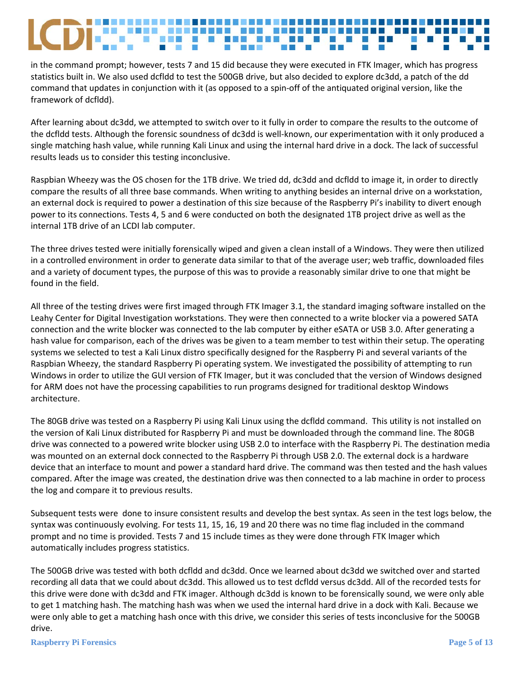in the command prompt; however, tests 7 and 15 did because they were executed in FTK Imager, which has progress statistics built in. We also used dcfldd to test the 500GB drive, but also decided to explore dc3dd, a patch of the dd command that updates in conjunction with it (as opposed to a spin-off of the antiquated original version, like the framework of dcfldd).

After learning about dc3dd, we attempted to switch over to it fully in order to compare the results to the outcome of the dcfldd tests. Although the forensic soundness of dc3dd is well-known, our experimentation with it only produced a single matching hash value, while running Kali Linux and using the internal hard drive in a dock. The lack of successful results leads us to consider this testing inconclusive.

Raspbian Wheezy was the OS chosen for the 1TB drive. We tried dd, dc3dd and dcfldd to image it, in order to directly compare the results of all three base commands. When writing to anything besides an internal drive on a workstation, an external dock is required to power a destination of this size because of the Raspberry Pi's inability to divert enough power to its connections. Tests 4, 5 and 6 were conducted on both the designated 1TB project drive as well as the internal 1TB drive of an LCDI lab computer.

The three drives tested were initially forensically wiped and given a clean install of a Windows. They were then utilized in a controlled environment in order to generate data similar to that of the average user; web traffic, downloaded files and a variety of document types, the purpose of this was to provide a reasonably similar drive to one that might be found in the field.

All three of the testing drives were first imaged through FTK Imager 3.1, the standard imaging software installed on the Leahy Center for Digital Investigation workstations. They were then connected to a write blocker via a powered SATA connection and the write blocker was connected to the lab computer by either eSATA or USB 3.0. After generating a hash value for comparison, each of the drives was be given to a team member to test within their setup. The operating systems we selected to test a Kali Linux distro specifically designed for the Raspberry Pi and several variants of the Raspbian Wheezy, the standard Raspberry Pi operating system. We investigated the possibility of attempting to run Windows in order to utilize the GUI version of FTK Imager, but it was concluded that the version of Windows designed for ARM does not have the processing capabilities to run programs designed for traditional desktop Windows architecture.

The 80GB drive was tested on a Raspberry Pi using Kali Linux using the dcfldd command. This utility is not installed on the version of Kali Linux distributed for Raspberry Pi and must be downloaded through the command line. The 80GB drive was connected to a powered write blocker using USB 2.0 to interface with the Raspberry Pi. The destination media was mounted on an external dock connected to the Raspberry Pi through USB 2.0. The external dock is a hardware device that an interface to mount and power a standard hard drive. The command was then tested and the hash values compared. After the image was created, the destination drive was then connected to a lab machine in order to process the log and compare it to previous results.

Subsequent tests were done to insure consistent results and develop the best syntax. As seen in the test logs below, the syntax was continuously evolving. For tests 11, 15, 16, 19 and 20 there was no time flag included in the command prompt and no time is provided. Tests 7 and 15 include times as they were done through FTK Imager which automatically includes progress statistics.

The 500GB drive was tested with both dcfldd and dc3dd. Once we learned about dc3dd we switched over and started recording all data that we could about dc3dd. This allowed us to test dcfldd versus dc3dd. All of the recorded tests for this drive were done with dc3dd and FTK imager. Although dc3dd is known to be forensically sound, we were only able to get 1 matching hash. The matching hash was when we used the internal hard drive in a dock with Kali. Because we were only able to get a matching hash once with this drive, we consider this series of tests inconclusive for the 500GB drive.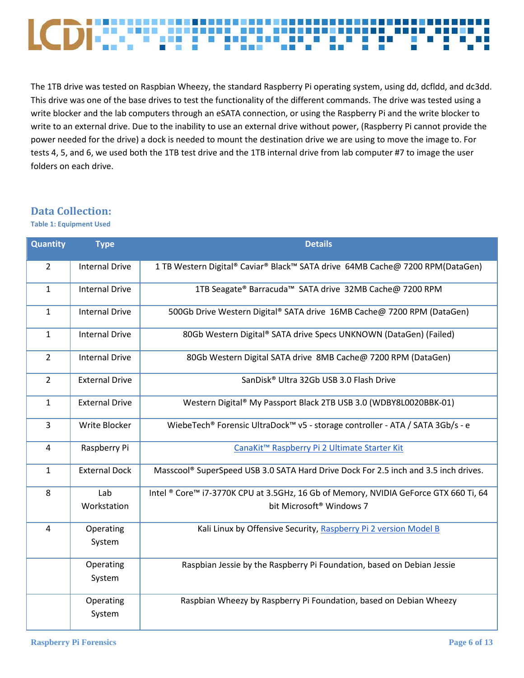## --------**The State B** B BEE an a T (6 Пm

The 1TB drive was tested on Raspbian Wheezy, the standard Raspberry Pi operating system, using dd, dcfldd, and dc3dd. This drive was one of the base drives to test the functionality of the different commands. The drive was tested using a write blocker and the lab computers through an eSATA connection, or using the Raspberry Pi and the write blocker to write to an external drive. Due to the inability to use an external drive without power, (Raspberry Pi cannot provide the power needed for the drive) a dock is needed to mount the destination drive we are using to move the image to. For tests 4, 5, and 6, we used both the 1TB test drive and the 1TB internal drive from lab computer #7 to image the user folders on each drive.

## <span id="page-6-0"></span>**Data Collection:**

**Table 1: Equipment Used**

| <b>Quantity</b> | <b>Type</b>           | <b>Details</b>                                                                       |  |  |  |  |
|-----------------|-----------------------|--------------------------------------------------------------------------------------|--|--|--|--|
| $\overline{2}$  | <b>Internal Drive</b> | 1 TB Western Digital® Caviar® Black™ SATA drive 64MB Cache@ 7200 RPM(DataGen)        |  |  |  |  |
| $\mathbf{1}$    | <b>Internal Drive</b> | 1TB Seagate® Barracuda™ SATA drive 32MB Cache@ 7200 RPM                              |  |  |  |  |
| $\mathbf{1}$    | <b>Internal Drive</b> | 500Gb Drive Western Digital® SATA drive 16MB Cache@ 7200 RPM (DataGen)               |  |  |  |  |
| $\mathbf{1}$    | <b>Internal Drive</b> | 80Gb Western Digital® SATA drive Specs UNKNOWN (DataGen) (Failed)                    |  |  |  |  |
| $\overline{2}$  | <b>Internal Drive</b> | 80Gb Western Digital SATA drive 8MB Cache@ 7200 RPM (DataGen)                        |  |  |  |  |
| $\overline{2}$  | <b>External Drive</b> | SanDisk® Ultra 32Gb USB 3.0 Flash Drive                                              |  |  |  |  |
| $\mathbf{1}$    | <b>External Drive</b> | Western Digital® My Passport Black 2TB USB 3.0 (WDBY8L0020BBK-01)                    |  |  |  |  |
| 3               | Write Blocker         | WiebeTech® Forensic UltraDock™ v5 - storage controller - ATA / SATA 3Gb/s - e        |  |  |  |  |
| 4               | Raspberry Pi          | CanaKit <sup>™</sup> Raspberry Pi 2 Ultimate Starter Kit                             |  |  |  |  |
| $\mathbf{1}$    | <b>External Dock</b>  | Masscool® SuperSpeed USB 3.0 SATA Hard Drive Dock For 2.5 inch and 3.5 inch drives.  |  |  |  |  |
| 8               | Lab                   | Intel ® Core™ i7-3770K CPU at 3.5GHz, 16 Gb of Memory, NVIDIA GeForce GTX 660 Ti, 64 |  |  |  |  |
|                 | Workstation           | bit Microsoft <sup>®</sup> Windows 7                                                 |  |  |  |  |
| 4               | Operating<br>System   | Kali Linux by Offensive Security, Raspberry Pi 2 version Model B                     |  |  |  |  |
|                 | Operating<br>System   | Raspbian Jessie by the Raspberry Pi Foundation, based on Debian Jessie               |  |  |  |  |
|                 | Operating<br>System   | Raspbian Wheezy by Raspberry Pi Foundation, based on Debian Wheezy                   |  |  |  |  |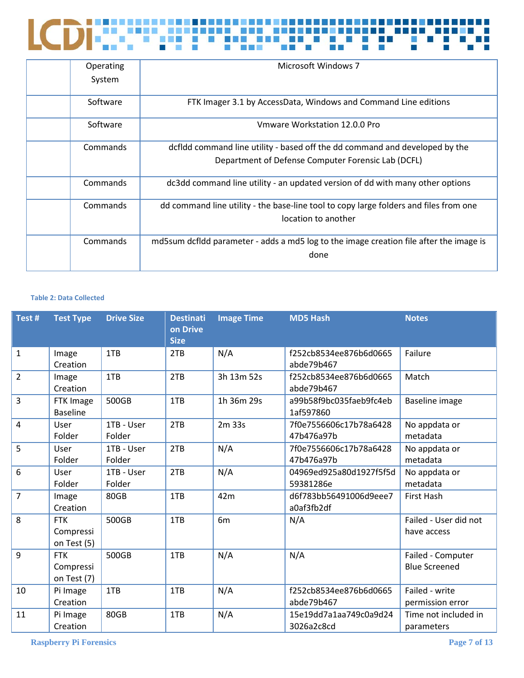

| Operating | Microsoft Windows 7                                                                    |
|-----------|----------------------------------------------------------------------------------------|
| System    |                                                                                        |
| Software  | FTK Imager 3.1 by AccessData, Windows and Command Line editions                        |
| Software  | Vmware Workstation 12.0.0 Pro                                                          |
| Commands  | dcfldd command line utility - based off the dd command and developed by the            |
|           | Department of Defense Computer Forensic Lab (DCFL)                                     |
| Commands  | dc3dd command line utility - an updated version of dd with many other options          |
| Commands  | dd command line utility - the base-line tool to copy large folders and files from one  |
|           | location to another                                                                    |
| Commands  | md5sum dcfldd parameter - adds a md5 log to the image creation file after the image is |
|           | done                                                                                   |

## **Table 2: Data Collected**

| Test#          | <b>Test Type</b>                       | <b>Drive Size</b>    | <b>Destinati</b><br>on Drive<br><b>Size</b> | <b>Image Time</b> | <b>MD5 Hash</b>                      | <b>Notes</b>                              |
|----------------|----------------------------------------|----------------------|---------------------------------------------|-------------------|--------------------------------------|-------------------------------------------|
| $\mathbf{1}$   | Image<br>Creation                      | 1TB                  | 2TB                                         | N/A               | f252cb8534ee876b6d0665<br>abde79b467 | Failure                                   |
| $\overline{2}$ | Image<br>Creation                      | 1TB                  | 2TB                                         | 3h 13m 52s        | f252cb8534ee876b6d0665<br>abde79b467 | Match                                     |
| $\overline{3}$ | FTK Image<br><b>Baseline</b>           | 500GB                | 1TB                                         | 1h 36m 29s        | a99b58f9bc035faeb9fc4eb<br>1af597860 | Baseline image                            |
| $\overline{4}$ | User<br>Folder                         | 1TB - User<br>Folder | 2TB                                         | 2m 33s            | 7f0e7556606c17b78a6428<br>47b476a97b | No appdata or<br>metadata                 |
| 5              | User<br>Folder                         | 1TB - User<br>Folder | 2TB                                         | N/A               | 7f0e7556606c17b78a6428<br>47b476a97b | No appdata or<br>metadata                 |
| $6\,$          | User<br>Folder                         | 1TB - User<br>Folder | 2TB                                         | N/A               | 04969ed925a80d1927f5f5d<br>59381286e | No appdata or<br>metadata                 |
| $\overline{7}$ | Image<br>Creation                      | 80GB                 | 1TB                                         | 42m               | d6f783bb56491006d9eee7<br>a0af3fb2df | First Hash                                |
| 8              | <b>FTK</b><br>Compressi<br>on Test (5) | 500GB                | 1TB                                         | 6 <sub>m</sub>    | N/A                                  | Failed - User did not<br>have access      |
| 9              | <b>FTK</b><br>Compressi<br>on Test (7) | 500GB                | 1TB                                         | N/A               | N/A                                  | Failed - Computer<br><b>Blue Screened</b> |
| 10             | Pi Image<br>Creation                   | 1TB                  | 1TB                                         | N/A               | f252cb8534ee876b6d0665<br>abde79b467 | Failed - write<br>permission error        |
| 11             | Pi Image<br>Creation                   | 80GB                 | 1TB                                         | N/A               | 15e19dd7a1aa749c0a9d24<br>3026a2c8cd | Time not included in<br>parameters        |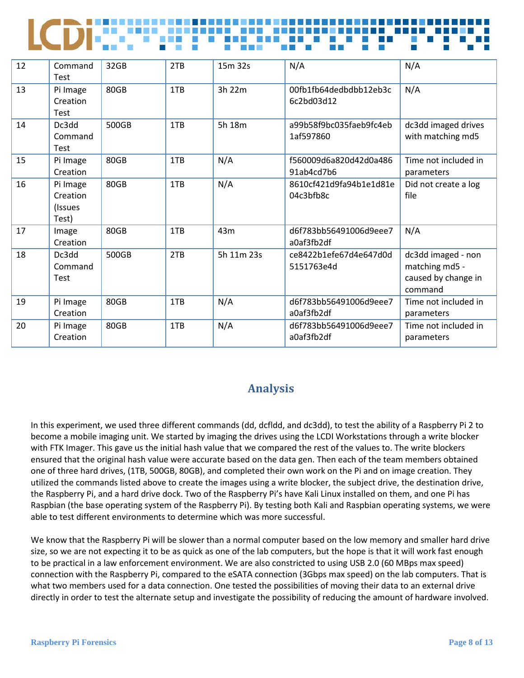| LCDING THE THE CONTECT OF THE THE |  |  |  |  |
|-----------------------------------|--|--|--|--|
|                                   |  |  |  |  |

| 12 | Command<br><b>Test</b>                   | 32GB  | 2TB | 15m 32s    | N/A                                  | N/A                                                                    |
|----|------------------------------------------|-------|-----|------------|--------------------------------------|------------------------------------------------------------------------|
| 13 | Pi Image<br>Creation<br>Test             | 80GB  | 1TB | 3h 22m     | 00fb1fb64dedbdbb12eb3c<br>6c2bd03d12 | N/A                                                                    |
| 14 | Dc3dd<br>Command<br>Test                 | 500GB | 1TB | 5h 18m     | a99b58f9bc035faeb9fc4eb<br>1af597860 | dc3dd imaged drives<br>with matching md5                               |
| 15 | Pi Image<br>Creation                     | 80GB  | 1TB | N/A        | f560009d6a820d42d0a486<br>91ab4cd7b6 | Time not included in<br>parameters                                     |
| 16 | Pi Image<br>Creation<br>(Issues<br>Test) | 80GB  | 1TB | N/A        | 8610cf421d9fa94b1e1d81e<br>04c3bfb8c | Did not create a log<br>file                                           |
| 17 | Image<br>Creation                        | 80GB  | 1TB | 43m        | d6f783bb56491006d9eee7<br>a0af3fb2df | N/A                                                                    |
| 18 | Dc3dd<br>Command<br><b>Test</b>          | 500GB | 2TB | 5h 11m 23s | ce8422b1efe67d4e647d0d<br>5151763e4d | dc3dd imaged - non<br>matching md5 -<br>caused by change in<br>command |
| 19 | Pi Image<br>Creation                     | 80GB  | 1TB | N/A        | d6f783bb56491006d9eee7<br>a0af3fb2df | Time not included in<br>parameters                                     |
| 20 | Pi Image<br>Creation                     | 80GB  | 1TB | N/A        | d6f783bb56491006d9eee7<br>a0af3fb2df | Time not included in<br>parameters                                     |

# **Analysis**

<span id="page-8-0"></span>In this experiment, we used three different commands (dd, dcfldd, and dc3dd), to test the ability of a Raspberry Pi 2 to become a mobile imaging unit. We started by imaging the drives using the LCDI Workstations through a write blocker with FTK Imager. This gave us the initial hash value that we compared the rest of the values to. The write blockers ensured that the original hash value were accurate based on the data gen. Then each of the team members obtained one of three hard drives, (1TB, 500GB, 80GB), and completed their own work on the Pi and on image creation. They utilized the commands listed above to create the images using a write blocker, the subject drive, the destination drive, the Raspberry Pi, and a hard drive dock. Two of the Raspberry Pi's have Kali Linux installed on them, and one Pi has Raspbian (the base operating system of the Raspberry Pi). By testing both Kali and Raspbian operating systems, we were able to test different environments to determine which was more successful.

We know that the Raspberry Pi will be slower than a normal computer based on the low memory and smaller hard drive size, so we are not expecting it to be as quick as one of the lab computers, but the hope is that it will work fast enough to be practical in a law enforcement environment. We are also constricted to using USB 2.0 (60 MBps max speed) connection with the Raspberry Pi, compared to the eSATA connection (3Gbps max speed) on the lab computers. That is what two members used for a data connection. One tested the possibilities of moving their data to an external drive directly in order to test the alternate setup and investigate the possibility of reducing the amount of hardware involved.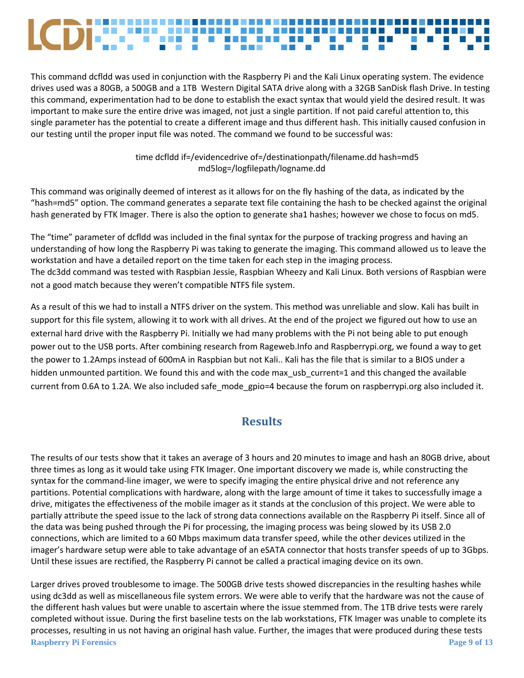This command dcfldd was used in conjunction with the Raspberry Pi and the Kali Linux operating system. The evidence drives used was a 80GB, a 500GB and a 1TB Western Digital SATA drive along with a 32GB SanDisk flash Drive. In testing this command, experimentation had to be done to establish the exact syntax that would yield the desired result. It was important to make sure the entire drive was imaged, not just a single partition. If not paid careful attention to, this single parameter has the potential to create a different image and thus different hash. This initially caused confusion in our testing until the proper input file was noted. The command we found to be successful was:

> time dcfldd if=/evidencedrive of=/destinationpath/filename.dd hash=md5 md5log=/logfilepath/logname.dd

This command was originally deemed of interest as it allows for on the fly hashing of the data, as indicated by the "hash=md5" option. The command generates a separate text file containing the hash to be checked against the original hash generated by FTK Imager. There is also the option to generate sha1 hashes; however we chose to focus on md5.

The "time" parameter of dcfldd was included in the final syntax for the purpose of tracking progress and having an understanding of how long the Raspberry Pi was taking to generate the imaging. This command allowed us to leave the workstation and have a detailed report on the time taken for each step in the imaging process. The dc3dd command was tested with Raspbian Jessie, Raspbian Wheezy and Kali Linux. Both versions of Raspbian were not a good match because they weren't compatible NTFS file system.

As a result of this we had to install a NTFS driver on the system. This method was unreliable and slow. Kali has built in support for this file system, allowing it to work with all drives. At the end of the project we figured out how to use an external hard drive with the Raspberry Pi. Initially we had many problems with the Pi not being able to put enough power out to the USB ports. After combining research from Rageweb.Info and Raspberrypi.org, we found a way to get the power to 1.2Amps instead of 600mA in Raspbian but not Kali.. Kali has the file that is similar to a BIOS under a hidden unmounted partition. We found this and with the code max\_usb\_current=1 and this changed the available current from 0.6A to 1.2A. We also included safe mode gpio=4 because the forum on raspberrypi.org also included it.

# **Results**

<span id="page-9-0"></span>The results of our tests show that it takes an average of 3 hours and 20 minutes to image and hash an 80GB drive, about three times as long as it would take using FTK Imager. One important discovery we made is, while constructing the syntax for the command-line imager, we were to specify imaging the entire physical drive and not reference any partitions. Potential complications with hardware, along with the large amount of time it takes to successfully image a drive, mitigates the effectiveness of the mobile imager as it stands at the conclusion of this project. We were able to partially attribute the speed issue to the lack of strong data connections available on the Raspberry Pi itself. Since all of the data was being pushed through the Pi for processing, the imaging process was being slowed by its USB 2.0 connections, which are limited to a 60 Mbps maximum data transfer speed, while the other devices utilized in the imager's hardware setup were able to take advantage of an eSATA connector that hosts transfer speeds of up to 3Gbps. Until these issues are rectified, the Raspberry Pi cannot be called a practical imaging device on its own.

**Raspberry Pi Forensics Page 9** of 13 Larger drives proved troublesome to image. The 500GB drive tests showed discrepancies in the resulting hashes while using dc3dd as well as miscellaneous file system errors. We were able to verify that the hardware was not the cause of the different hash values but were unable to ascertain where the issue stemmed from. The 1TB drive tests were rarely completed without issue. During the first baseline tests on the lab workstations, FTK Imager was unable to complete its processes, resulting in us not having an original hash value. Further, the images that were produced during these tests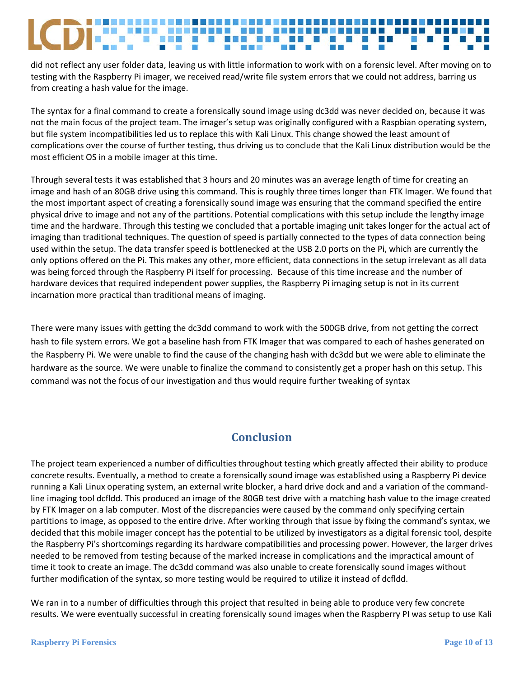did not reflect any user folder data, leaving us with little information to work with on a forensic level. After moving on to testing with the Raspberry Pi imager, we received read/write file system errors that we could not address, barring us from creating a hash value for the image.

The syntax for a final command to create a forensically sound image using dc3dd was never decided on, because it was not the main focus of the project team. The imager's setup was originally configured with a Raspbian operating system, but file system incompatibilities led us to replace this with Kali Linux. This change showed the least amount of complications over the course of further testing, thus driving us to conclude that the Kali Linux distribution would be the most efficient OS in a mobile imager at this time.

Through several tests it was established that 3 hours and 20 minutes was an average length of time for creating an image and hash of an 80GB drive using this command. This is roughly three times longer than FTK Imager. We found that the most important aspect of creating a forensically sound image was ensuring that the command specified the entire physical drive to image and not any of the partitions. Potential complications with this setup include the lengthy image time and the hardware. Through this testing we concluded that a portable imaging unit takes longer for the actual act of imaging than traditional techniques. The question of speed is partially connected to the types of data connection being used within the setup. The data transfer speed is bottlenecked at the USB 2.0 ports on the Pi, which are currently the only options offered on the Pi. This makes any other, more efficient, data connections in the setup irrelevant as all data was being forced through the Raspberry Pi itself for processing. Because of this time increase and the number of hardware devices that required independent power supplies, the Raspberry Pi imaging setup is not in its current incarnation more practical than traditional means of imaging.

There were many issues with getting the dc3dd command to work with the 500GB drive, from not getting the correct hash to file system errors. We got a baseline hash from FTK Imager that was compared to each of hashes generated on the Raspberry Pi. We were unable to find the cause of the changing hash with dc3dd but we were able to eliminate the hardware as the source. We were unable to finalize the command to consistently get a proper hash on this setup. This command was not the focus of our investigation and thus would require further tweaking of syntax

# **Conclusion**

<span id="page-10-0"></span>The project team experienced a number of difficulties throughout testing which greatly affected their ability to produce concrete results. Eventually, a method to create a forensically sound image was established using a Raspberry Pi device running a Kali Linux operating system, an external write blocker, a hard drive dock and and a variation of the commandline imaging tool dcfldd. This produced an image of the 80GB test drive with a matching hash value to the image created by FTK Imager on a lab computer. Most of the discrepancies were caused by the command only specifying certain partitions to image, as opposed to the entire drive. After working through that issue by fixing the command's syntax, we decided that this mobile imager concept has the potential to be utilized by investigators as a digital forensic tool, despite the Raspberry Pi's shortcomings regarding its hardware compatibilities and processing power. However, the larger drives needed to be removed from testing because of the marked increase in complications and the impractical amount of time it took to create an image. The dc3dd command was also unable to create forensically sound images without further modification of the syntax, so more testing would be required to utilize it instead of dcfldd.

We ran in to a number of difficulties through this project that resulted in being able to produce very few concrete results. We were eventually successful in creating forensically sound images when the Raspberry PI was setup to use Kali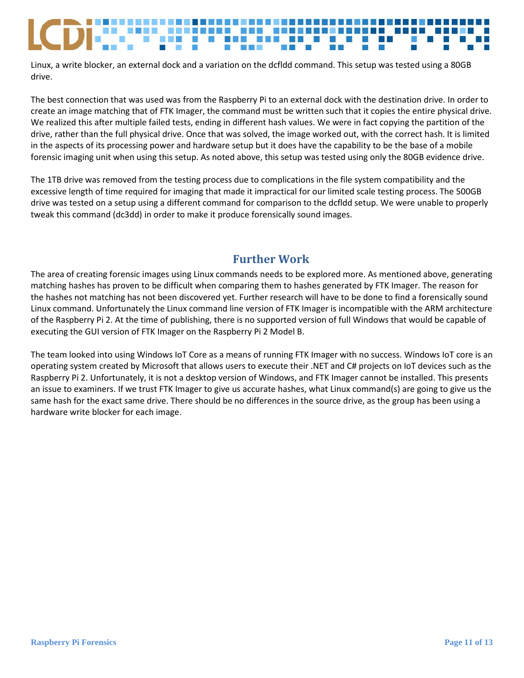Linux, a write blocker, an external dock and a variation on the dcfldd command. This setup was tested using a 80GB drive.

The best connection that was used was from the Raspberry Pi to an external dock with the destination drive. In order to create an image matching that of FTK Imager, the command must be written such that it copies the entire physical drive. We realized this after multiple failed tests, ending in different hash values. We were in fact copying the partition of the drive, rather than the full physical drive. Once that was solved, the image worked out, with the correct hash. It is limited in the aspects of its processing power and hardware setup but it does have the capability to be the base of a mobile forensic imaging unit when using this setup. As noted above, this setup was tested using only the 80GB evidence drive.

The 1TB drive was removed from the testing process due to complications in the file system compatibility and the excessive length of time required for imaging that made it impractical for our limited scale testing process. The 500GB drive was tested on a setup using a different command for comparison to the dcfldd setup. We were unable to properly tweak this command (dc3dd) in order to make it produce forensically sound images.

# **Further Work**

<span id="page-11-0"></span>The area of creating forensic images using Linux commands needs to be explored more. As mentioned above, generating matching hashes has proven to be difficult when comparing them to hashes generated by FTK Imager. The reason for the hashes not matching has not been discovered yet. Further research will have to be done to find a forensically sound Linux command. Unfortunately the Linux command line version of FTK Imager is incompatible with the ARM architecture of the Raspberry Pi 2. At the time of publishing, there is no supported version of full Windows that would be capable of executing the GUI version of FTK Imager on the Raspberry Pi 2 Model B.

The team looked into using Windows IoT Core as a means of running FTK Imager with no success. Windows IoT core is an operating system created by Microsoft that allows users to execute their .NET and C# projects on IoT devices such as the Raspberry Pi 2. Unfortunately, it is not a desktop version of Windows, and FTK Imager cannot be installed. This presents an issue to examiners. If we trust FTK Imager to give us accurate hashes, what Linux command(s) are going to give us the same hash for the exact same drive. There should be no differences in the source drive, as the group has been using a hardware write blocker for each image.